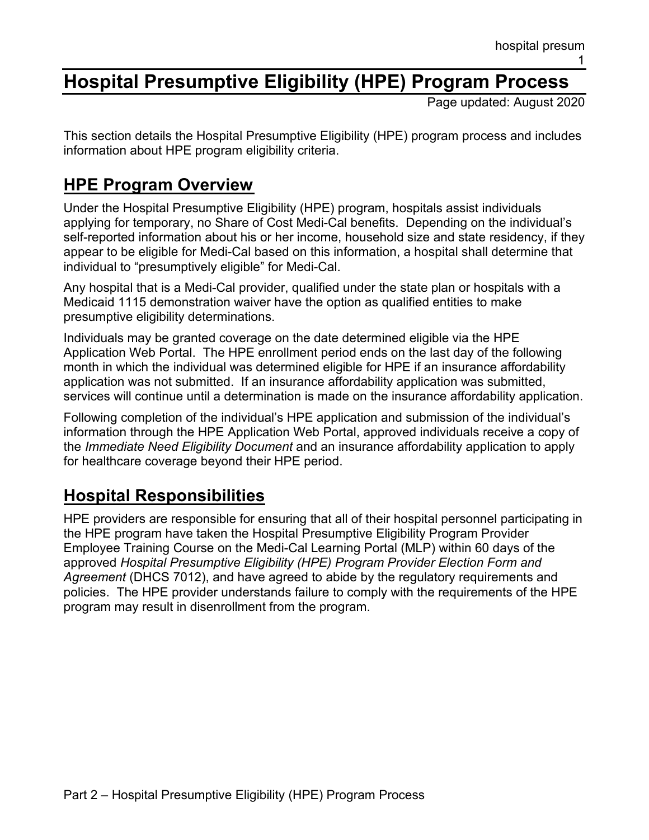# **Hospital Presumptive Eligibility (HPE) Program Process**

Page updated: August 2020

This section details the Hospital Presumptive Eligibility (HPE) program process and includes information about HPE program eligibility criteria.

# **HPE Program Overview**

Under the Hospital Presumptive Eligibility (HPE) program, hospitals assist individuals applying for temporary, no Share of Cost Medi-Cal benefits. Depending on the individual's self-reported information about his or her income, household size and state residency, if they appear to be eligible for Medi-Cal based on this information, a hospital shall determine that individual to "presumptively eligible" for Medi-Cal.

Any hospital that is a Medi-Cal provider, qualified under the state plan or hospitals with a Medicaid 1115 demonstration waiver have the option as qualified entities to make presumptive eligibility determinations.

Individuals may be granted coverage on the date determined eligible via the HPE Application Web Portal. The HPE enrollment period ends on the last day of the following month in which the individual was determined eligible for HPE if an insurance affordability application was not submitted. If an insurance affordability application was submitted, services will continue until a determination is made on the insurance affordability application.

Following completion of the individual's HPE application and submission of the individual's information through the HPE Application Web Portal, approved individuals receive a copy of the *Immediate Need Eligibility Document* and an insurance affordability application to apply for healthcare coverage beyond their HPE period.

# **Hospital Responsibilities**

HPE providers are responsible for ensuring that all of their hospital personnel participating in the HPE program have taken the Hospital Presumptive Eligibility Program Provider Employee Training Course on the Medi-Cal Learning Portal (MLP) within 60 days of the approved *Hospital Presumptive Eligibility (HPE) Program Provider Election Form and Agreement* (DHCS 7012), and have agreed to abide by the regulatory requirements and policies. The HPE provider understands failure to comply with the requirements of the HPE program may result in disenrollment from the program.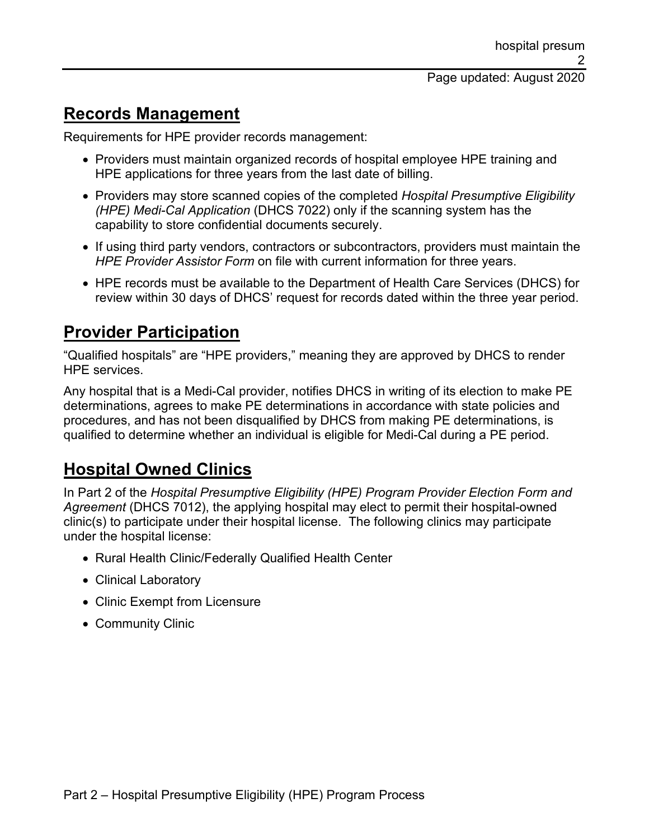#### **Records Management**

Requirements for HPE provider records management:

- Providers must maintain organized records of hospital employee HPE training and HPE applications for three years from the last date of billing.
- Providers may store scanned copies of the completed *Hospital Presumptive Eligibility (HPE) Medi-Cal Application* (DHCS 7022) only if the scanning system has the capability to store confidential documents securely.
- If using third party vendors, contractors or subcontractors, providers must maintain the *HPE Provider Assistor Form* on file with current information for three years.
- HPE records must be available to the Department of Health Care Services (DHCS) for review within 30 days of DHCS' request for records dated within the three year period.

#### **Provider Participation**

"Qualified hospitals" are "HPE providers," meaning they are approved by DHCS to render HPE services.

Any hospital that is a Medi-Cal provider, notifies DHCS in writing of its election to make PE determinations, agrees to make PE determinations in accordance with state policies and procedures, and has not been disqualified by DHCS from making PE determinations, is qualified to determine whether an individual is eligible for Medi-Cal during a PE period.

### **Hospital Owned Clinics**

In Part 2 of the *Hospital Presumptive Eligibility (HPE) Program Provider Election Form and Agreement* (DHCS 7012), the applying hospital may elect to permit their hospital-owned clinic(s) to participate under their hospital license. The following clinics may participate under the hospital license:

- Rural Health Clinic/Federally Qualified Health Center
- Clinical Laboratory
- Clinic Exempt from Licensure
- Community Clinic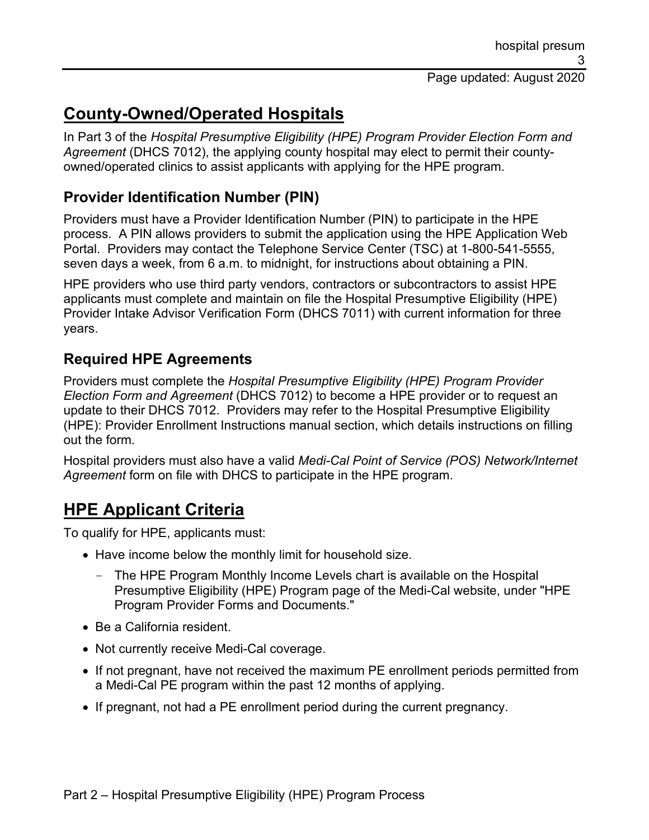### **County-Owned/Operated Hospitals**

In Part 3 of the *Hospital Presumptive Eligibility (HPE) Program Provider Election Form and Agreement* (DHCS 7012), the applying county hospital may elect to permit their countyowned/operated clinics to assist applicants with applying for the HPE program.

#### **Provider Identification Number (PIN)**

Providers must have a Provider Identification Number (PIN) to participate in the HPE process. A PIN allows providers to submit the application using the HPE Application Web Portal. Providers may contact the Telephone Service Center (TSC) at 1-800-541-5555, seven days a week, from 6 a.m. to midnight, for instructions about obtaining a PIN.

HPE providers who use third party vendors, contractors or subcontractors to assist HPE applicants must complete and maintain on file the Hospital Presumptive Eligibility (HPE) Provider Intake Advisor Verification Form (DHCS 7011) with current information for three years.

#### **Required HPE Agreements**

Providers must complete the *Hospital Presumptive Eligibility (HPE) Program Provider Election Form and Agreement* (DHCS 7012) to become a HPE provider or to request an update to their DHCS 7012. Providers may refer to the Hospital Presumptive Eligibility (HPE): Provider Enrollment Instructions manual section, which details instructions on filling out the form.

Hospital providers must also have a valid *Medi-Cal Point of Service (POS) Network/Internet Agreement* form on file with DHCS to participate in the HPE program.

### **HPE Applicant Criteria**

To qualify for HPE, applicants must:

- Have income below the monthly limit for household size.
	- The HPE Program Monthly Income Levels chart is available on the Hospital Presumptive Eligibility (HPE) Program page of the Medi-Cal website, under "HPE Program Provider Forms and Documents."
- Be a California resident.
- Not currently receive Medi-Cal coverage.
- If not pregnant, have not received the maximum PE enrollment periods permitted from a Medi-Cal PE program within the past 12 months of applying.
- If pregnant, not had a PE enrollment period during the current pregnancy.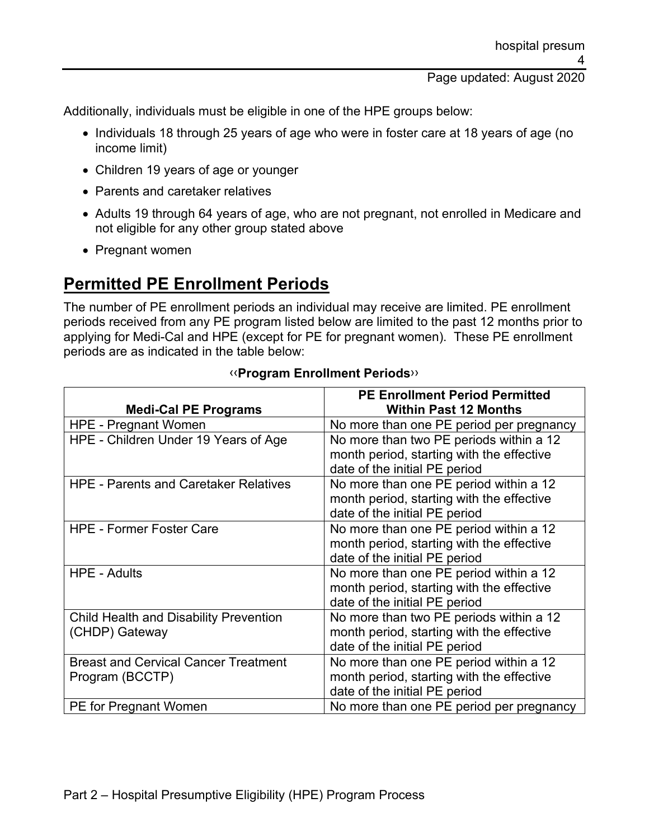Additionally, individuals must be eligible in one of the HPE groups below:

- Individuals 18 through 25 years of age who were in foster care at 18 years of age (no income limit)
- Children 19 years of age or younger
- Parents and caretaker relatives
- Adults 19 through 64 years of age, who are not pregnant, not enrolled in Medicare and not eligible for any other group stated above
- Pregnant women

### **Permitted PE Enrollment Periods**

The number of PE enrollment periods an individual may receive are limited. PE enrollment periods received from any PE program listed below are limited to the past 12 months prior to applying for Medi-Cal and HPE (except for PE for pregnant women). These PE enrollment periods are as indicated in the table below:

|                                               | <b>PE Enrollment Period Permitted</b>     |
|-----------------------------------------------|-------------------------------------------|
| <b>Medi-Cal PE Programs</b>                   | <b>Within Past 12 Months</b>              |
| <b>HPE - Pregnant Women</b>                   | No more than one PE period per pregnancy  |
| HPE - Children Under 19 Years of Age          | No more than two PE periods within a 12   |
|                                               | month period, starting with the effective |
|                                               | date of the initial PE period             |
| <b>HPE - Parents and Caretaker Relatives</b>  | No more than one PE period within a 12    |
|                                               | month period, starting with the effective |
|                                               | date of the initial PE period             |
| <b>HPE - Former Foster Care</b>               | No more than one PE period within a 12    |
|                                               | month period, starting with the effective |
|                                               | date of the initial PE period             |
| <b>HPE - Adults</b>                           | No more than one PE period within a 12    |
|                                               | month period, starting with the effective |
|                                               | date of the initial PE period             |
| <b>Child Health and Disability Prevention</b> | No more than two PE periods within a 12   |
| (CHDP) Gateway                                | month period, starting with the effective |
|                                               | date of the initial PE period             |
| <b>Breast and Cervical Cancer Treatment</b>   | No more than one PE period within a 12    |
| Program (BCCTP)                               | month period, starting with the effective |
|                                               | date of the initial PE period             |
| <b>PE</b> for Pregnant Women                  | No more than one PE period per pregnancy  |

#### [‹‹](#page-7-0)**Program Enrollment Periods**[››](#page-7-1)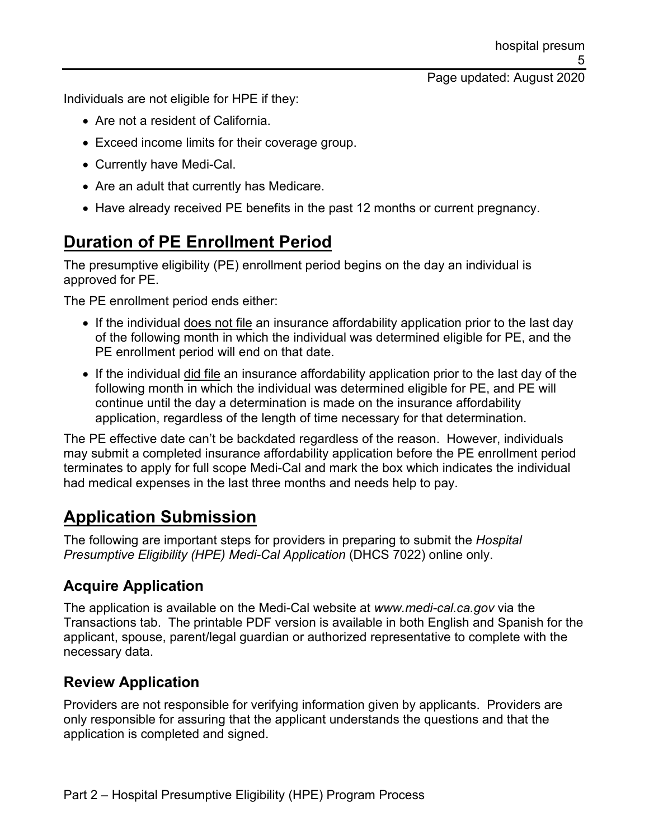Page updated: August 2020

Individuals are not eligible for HPE if they:

- Are not a resident of California.
- Exceed income limits for their coverage group.
- Currently have Medi-Cal.
- Are an adult that currently has Medicare.
- Have already received PE benefits in the past 12 months or current pregnancy.

# **Duration of PE Enrollment Period**

The presumptive eligibility (PE) enrollment period begins on the day an individual is approved for PE.

The PE enrollment period ends either:

- If the individual does not file an insurance affordability application prior to the last day of the following month in which the individual was determined eligible for PE, and the PE enrollment period will end on that date.
- If the individual did file an insurance affordability application prior to the last day of the following month in which the individual was determined eligible for PE, and PE will continue until the day a determination is made on the insurance affordability application, regardless of the length of time necessary for that determination.

The PE effective date can't be backdated regardless of the reason. However, individuals may submit a completed insurance affordability application before the PE enrollment period terminates to apply for full scope Medi-Cal and mark the box which indicates the individual had medical expenses in the last three months and needs help to pay.

### **Application Submission**

The following are important steps for providers in preparing to submit the *Hospital Presumptive Eligibility (HPE) Medi-Cal Application* (DHCS 7022) online only.

#### **Acquire Application**

The application is available on the Medi-Cal website at *www.medi-cal.ca.gov* via the Transactions tab. The printable PDF version is available in both English and Spanish for the applicant, spouse, parent/legal guardian or authorized representative to complete with the necessary data.

#### **Review Application**

Providers are not responsible for verifying information given by applicants. Providers are only responsible for assuring that the applicant understands the questions and that the application is completed and signed.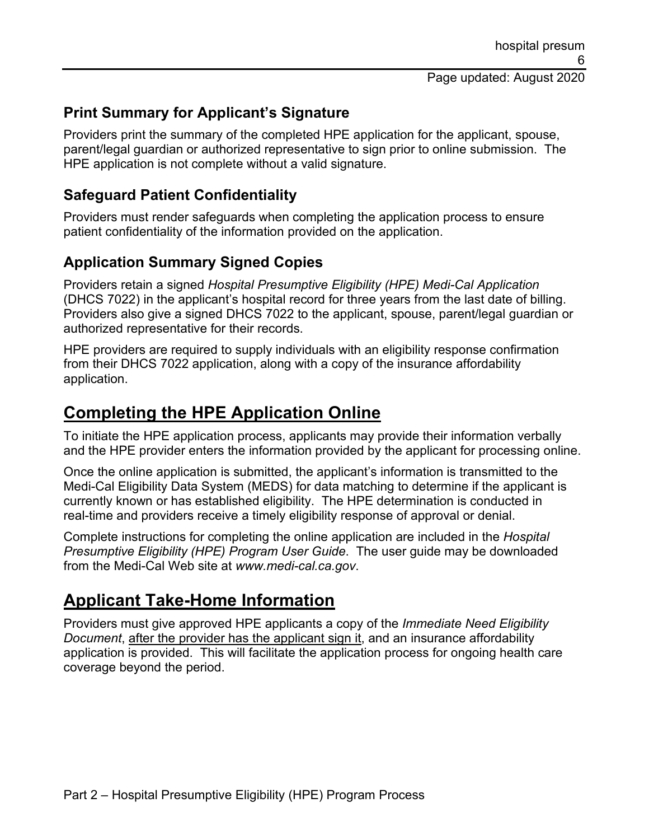#### **Print Summary for Applicant's Signature**

Providers print the summary of the completed HPE application for the applicant, spouse, parent/legal guardian or authorized representative to sign prior to online submission. The HPE application is not complete without a valid signature.

#### **Safeguard Patient Confidentiality**

Providers must render safeguards when completing the application process to ensure patient confidentiality of the information provided on the application.

#### **Application Summary Signed Copies**

Providers retain a signed *Hospital Presumptive Eligibility (HPE) Medi-Cal Application* (DHCS 7022) in the applicant's hospital record for three years from the last date of billing. Providers also give a signed DHCS 7022 to the applicant, spouse, parent/legal guardian or authorized representative for their records.

HPE providers are required to supply individuals with an eligibility response confirmation from their DHCS 7022 application, along with a copy of the insurance affordability application.

#### **Completing the HPE Application Online**

To initiate the HPE application process, applicants may provide their information verbally and the HPE provider enters the information provided by the applicant for processing online.

Once the online application is submitted, the applicant's information is transmitted to the Medi-Cal Eligibility Data System (MEDS) for data matching to determine if the applicant is currently known or has established eligibility. The HPE determination is conducted in real-time and providers receive a timely eligibility response of approval or denial.

Complete instructions for completing the online application are included in the *Hospital Presumptive Eligibility (HPE) Program User Guide*. The user guide may be downloaded from the Medi-Cal Web site at *www.medi-cal.ca.gov*.

### **Applicant Take-Home Information**

Providers must give approved HPE applicants a copy of the *Immediate Need Eligibility Document*, after the provider has the applicant sign it, and an insurance affordability application is provided. This will facilitate the application process for ongoing health care coverage beyond the period.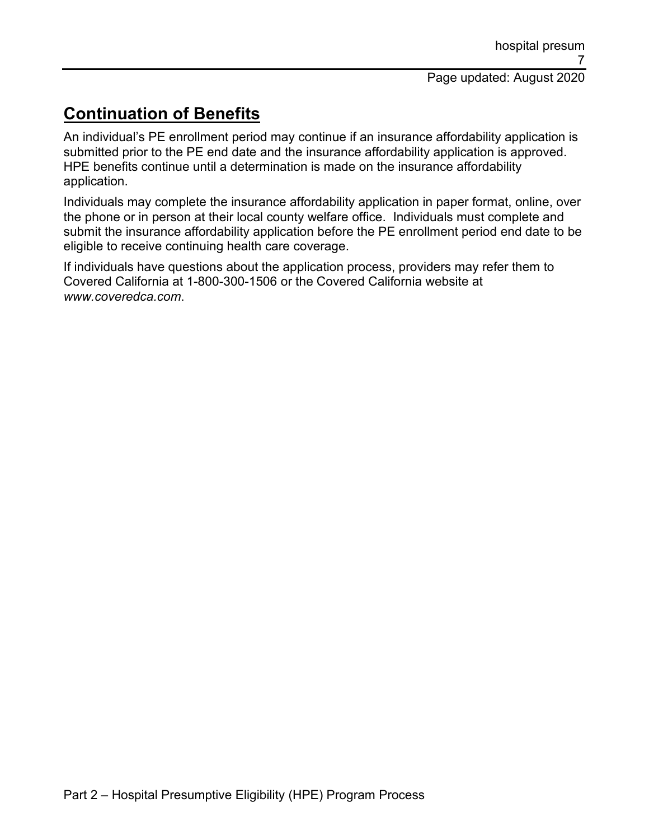# **Continuation of Benefits**

An individual's PE enrollment period may continue if an insurance affordability application is submitted prior to the PE end date and the insurance affordability application is approved. HPE benefits continue until a determination is made on the insurance affordability application.

Individuals may complete the insurance affordability application in paper format, online, over the phone or in person at their local county welfare office. Individuals must complete and submit the insurance affordability application before the PE enrollment period end date to be eligible to receive continuing health care coverage.

If individuals have questions about the application process, providers may refer them to Covered California at 1-800-300-1506 or the Covered California website at *www.coveredca.com*.